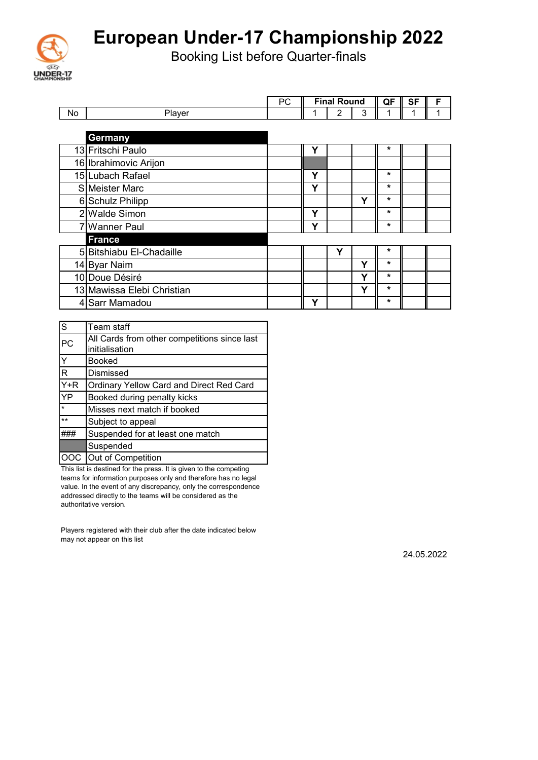

Booking List before Quarter-finals

|     |                            | PC |   | <b>Final Round</b> |   | QF      | <b>SF</b> | F |
|-----|----------------------------|----|---|--------------------|---|---------|-----------|---|
| No. | Player                     |    |   | $\overline{2}$     | 3 | 1       | 1         | 1 |
|     |                            |    |   |                    |   |         |           |   |
|     | Germany                    |    |   |                    |   |         |           |   |
|     | 13 Fritschi Paulo          |    | Υ |                    |   | $\star$ |           |   |
|     | 16 Ibrahimovic Arijon      |    |   |                    |   |         |           |   |
|     | 15 Lubach Rafael           |    | Υ |                    |   | $\star$ |           |   |
|     | SMeister Marc              |    | Υ |                    |   | $\star$ |           |   |
|     | 6 Schulz Philipp           |    |   |                    | Υ | $\ast$  |           |   |
|     | 2 Walde Simon              |    | Υ |                    |   | $\star$ |           |   |
|     | 7 Wanner Paul              |    | Y |                    |   | *       |           |   |
|     | <b>France</b>              |    |   |                    |   |         |           |   |
|     | 5 Bitshiabu El-Chadaille   |    |   | Υ                  |   | *       |           |   |
|     | 14 Byar Naim               |    |   |                    | Υ | $\star$ |           |   |
|     | 10 Doue Désiré             |    |   |                    | Υ | *       |           |   |
|     | 13 Mawissa Elebi Christian |    |   |                    | Υ | $\star$ |           |   |
|     | 4 Sarr Mamadou             |    | Υ |                    |   | *       |           |   |

| S                       | Team staff                                   |
|-------------------------|----------------------------------------------|
| PC                      | All Cards from other competitions since last |
|                         | initialisation                               |
| I≻                      | <b>Booked</b>                                |
| $\overline{\mathsf{R}}$ | Dismissed                                    |
| $Y + R$                 | Ordinary Yellow Card and Direct Red Card     |
| YP                      | Booked during penalty kicks                  |
| $\star$                 | Misses next match if booked                  |
| $***$                   | Subject to appeal                            |
|                         | Suspended for at least one match             |
|                         | Suspended                                    |
|                         | Out of Competition                           |

This list is destined for the press. It is given to the competing teams for information purposes only and therefore has no legal value. In the event of any discrepancy, only the correspondence addressed directly to the teams will be considered as the authoritative version.

Players registered with their club after the date indicated below may not appear on this list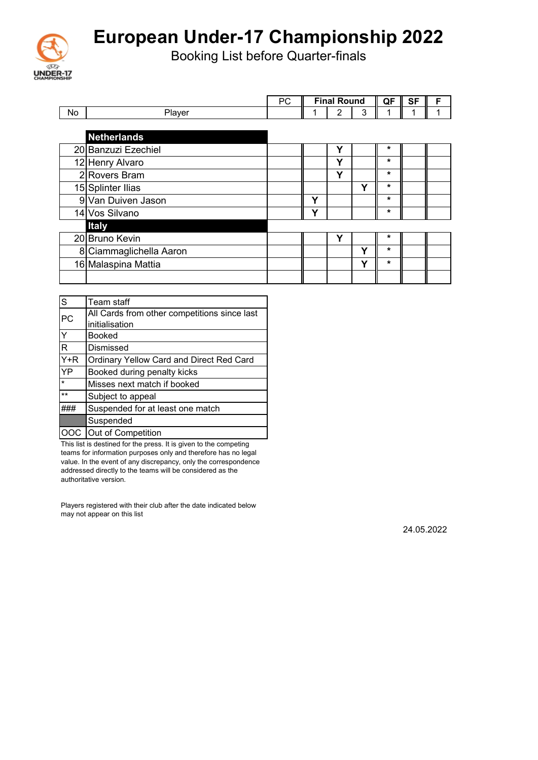

Booking List before Quarter-finals

|    |                         | <b>PC</b> |              | <b>Final Round</b> |   | QF      | <b>SF</b> | F |
|----|-------------------------|-----------|--------------|--------------------|---|---------|-----------|---|
| No | Player                  |           |              | 2                  | 3 | 1       |           |   |
|    |                         |           |              |                    |   |         |           |   |
|    | <b>Netherlands</b>      |           |              |                    |   |         |           |   |
|    | 20 Banzuzi Ezechiel     |           |              | Y                  |   | *       |           |   |
|    | 12 Henry Alvaro         |           |              | Υ                  |   | $\star$ |           |   |
|    | 2Rovers Bram            |           |              | Υ                  |   | *       |           |   |
|    | 15 Splinter Ilias       |           |              |                    | ν | $\star$ |           |   |
|    | 9 Van Duiven Jason      |           | $\checkmark$ |                    |   | $\star$ |           |   |
|    | 14 Vos Silvano          |           | ν            |                    |   | $\star$ |           |   |
|    | <b>Italy</b>            |           |              |                    |   |         |           |   |
|    | 20 Bruno Kevin          |           |              | Υ                  |   | *       |           |   |
|    | 8 Ciammaglichella Aaron |           |              |                    | Υ | $\star$ |           |   |
|    | 16 Malaspina Mattia     |           |              |                    | Υ | $\star$ |           |   |
|    |                         |           |              |                    |   |         |           |   |

| l<br>S         | Team staff                                   |
|----------------|----------------------------------------------|
| PC             | All Cards from other competitions since last |
|                | initialisation                               |
| $\overline{Y}$ | <b>Booked</b>                                |
| $\overline{R}$ | Dismissed                                    |
| $Y + R$        | Ordinary Yellow Card and Direct Red Card     |
| YP             | Booked during penalty kicks                  |
|                | Misses next match if booked                  |
| $***$          | Subject to appeal                            |
|                | Suspended for at least one match             |
|                | Suspended                                    |
|                | Out of Competition                           |

This list is destined for the press. It is given to the competing teams for information purposes only and therefore has no legal value. In the event of any discrepancy, only the correspondence addressed directly to the teams will be considered as the authoritative version.

Players registered with their club after the date indicated below may not appear on this list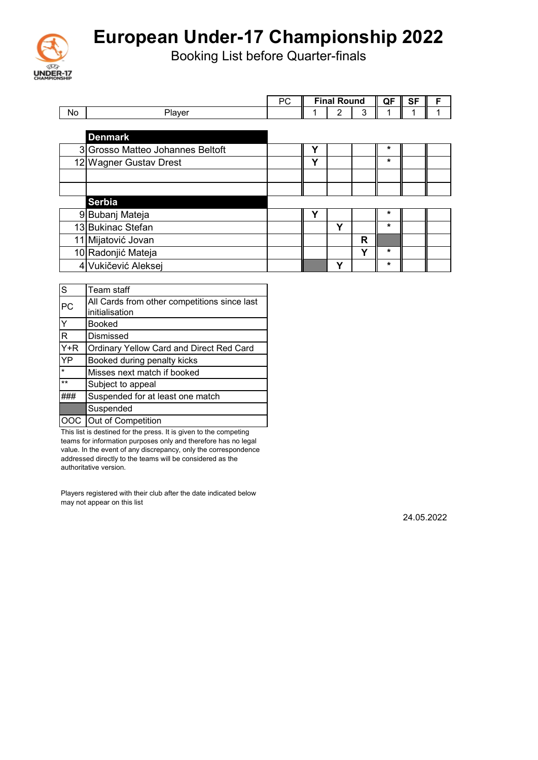

Booking List before Quarter-finals

|              |                                              | РC |   | <b>Final Round</b> |   | QF | <b>SF</b> | F |
|--------------|----------------------------------------------|----|---|--------------------|---|----|-----------|---|
| No           | Player                                       |    |   | 2                  | 3 | 1  | 1         | 1 |
|              |                                              |    |   |                    |   |    |           |   |
|              | <b>Denmark</b>                               |    |   |                    |   |    |           |   |
|              | 3 Grosso Matteo Johannes Beltoft             |    | Y |                    |   | *  |           |   |
|              | 12 Wagner Gustav Drest                       |    | Υ |                    |   | *  |           |   |
|              |                                              |    |   |                    |   |    |           |   |
|              |                                              |    |   |                    |   |    |           |   |
|              | <b>Serbia</b>                                |    |   |                    |   |    |           |   |
|              | 9 Bubanj Mateja                              |    | Υ |                    |   | *  |           |   |
|              | 13 Bukinac Stefan                            |    |   | Y                  |   | *  |           |   |
|              | 11 Mijatović Jovan                           |    |   |                    | R |    |           |   |
|              | 10 Radonjić Mateja                           |    |   |                    | Υ | *  |           |   |
|              | 4 Vukičević Aleksej                          |    |   | Υ                  |   | *  |           |   |
|              |                                              |    |   |                    |   |    |           |   |
| S            | Team staff                                   |    |   |                    |   |    |           |   |
| PC           | All Cards from other competitions since last |    |   |                    |   |    |           |   |
|              | initialisation                               |    |   |                    |   |    |           |   |
| $\checkmark$ | <b>Doolrod</b>                               |    |   |                    |   |    |           |   |

| ru        | initialisation                                  |
|-----------|-------------------------------------------------|
| Y         | <b>Booked</b>                                   |
| R         | <b>Dismissed</b>                                |
| $Y+R$     | <b>Ordinary Yellow Card and Direct Red Card</b> |
| <b>YP</b> | Booked during penalty kicks                     |
| $\star$   | Misses next match if booked                     |
| $***$     | Subject to appeal                               |
|           | Suspended for at least one match                |
|           | Suspended                                       |
|           | OOC Out of Competition                          |

This list is destined for the press. It is given to the competing teams for information purposes only and therefore has no legal value. In the event of any discrepancy, only the correspondence addressed directly to the teams will be considered as the authoritative version.

Players registered with their club after the date indicated below may not appear on this list